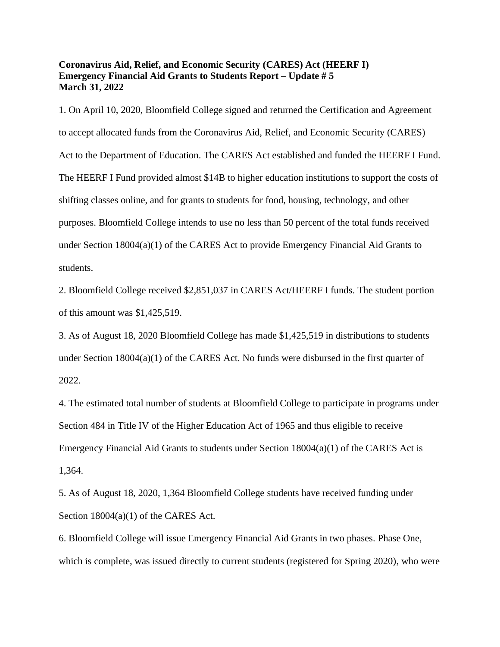## **Coronavirus Aid, Relief, and Economic Security (CARES) Act (HEERF I) Emergency Financial Aid Grants to Students Report – Update # 5 March 31, 2022**

1. On April 10, 2020, Bloomfield College signed and returned the Certification and Agreement to accept allocated funds from the Coronavirus Aid, Relief, and Economic Security (CARES) Act to the Department of Education. The CARES Act established and funded the HEERF I Fund. The HEERF I Fund provided almost \$14B to higher education institutions to support the costs of shifting classes online, and for grants to students for food, housing, technology, and other purposes. Bloomfield College intends to use no less than 50 percent of the total funds received under Section 18004(a)(1) of the CARES Act to provide Emergency Financial Aid Grants to students.

2. Bloomfield College received \$2,851,037 in CARES Act/HEERF I funds. The student portion of this amount was \$1,425,519.

3. As of August 18, 2020 Bloomfield College has made \$1,425,519 in distributions to students under Section  $18004(a)(1)$  of the CARES Act. No funds were disbursed in the first quarter of 2022.

4. The estimated total number of students at Bloomfield College to participate in programs under Section 484 in Title IV of the Higher Education Act of 1965 and thus eligible to receive Emergency Financial Aid Grants to students under Section  $18004(a)(1)$  of the CARES Act is 1,364.

5. As of August 18, 2020, 1,364 Bloomfield College students have received funding under Section 18004(a)(1) of the CARES Act.

6. Bloomfield College will issue Emergency Financial Aid Grants in two phases. Phase One, which is complete, was issued directly to current students (registered for Spring 2020), who were